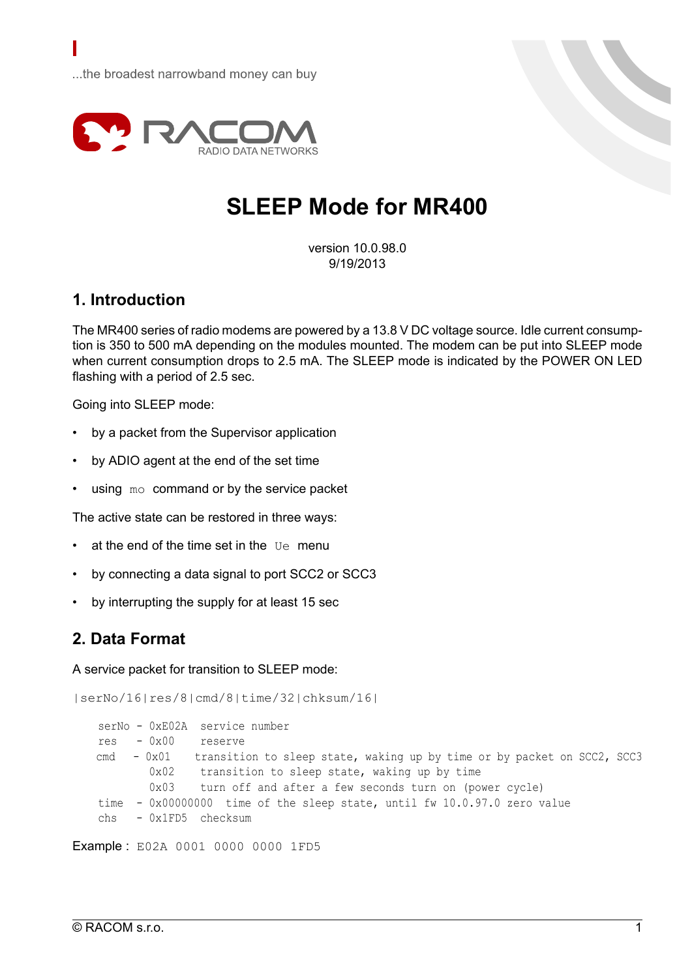

# **SLEEP Mode for MR400**

version 10.0.98.0 9/19/2013

## **1. Introduction**

The MR400 series of radio modems are powered by a 13.8 V DC voltage source. Idle current consumption is 350 to 500 mA depending on the modules mounted. The modem can be put into SLEEP mode when current consumption drops to 2.5 mA. The SLEEP mode is indicated by the POWER ON LED flashing with a period of 2.5 sec.

Going into SLEEP mode:

- by a packet from the Supervisor application
- by ADIO agent at the end of the set time
- using  $m<sub>o</sub>$  command or by the service packet

The active state can be restored in three ways:

- at the end of the time set in the Ue menu
- by connecting a data signal to port SCC2 or SCC3
- by interrupting the supply for at least 15 sec

# **2. Data Format**

A service packet for transition to SLEEP mode:

```
|serNo/16|res/8|cmd/8|time/32|chksum/16|
```

```
serNo - 0xE02A service number
res - 0x00 reserve
cmd -0x01 transition to sleep state, waking up by time or by packet on SCC2, SCC3
       0x02 transition to sleep state, waking up by time
       0x03 turn off and after a few seconds turn on (power cycle)
time - 0x00000000 time of the sleep state, until fw 10.0.97.0 zero value
chs - 0x1FD5 checksum
```
Example : E02A 0001 0000 0000 1FD5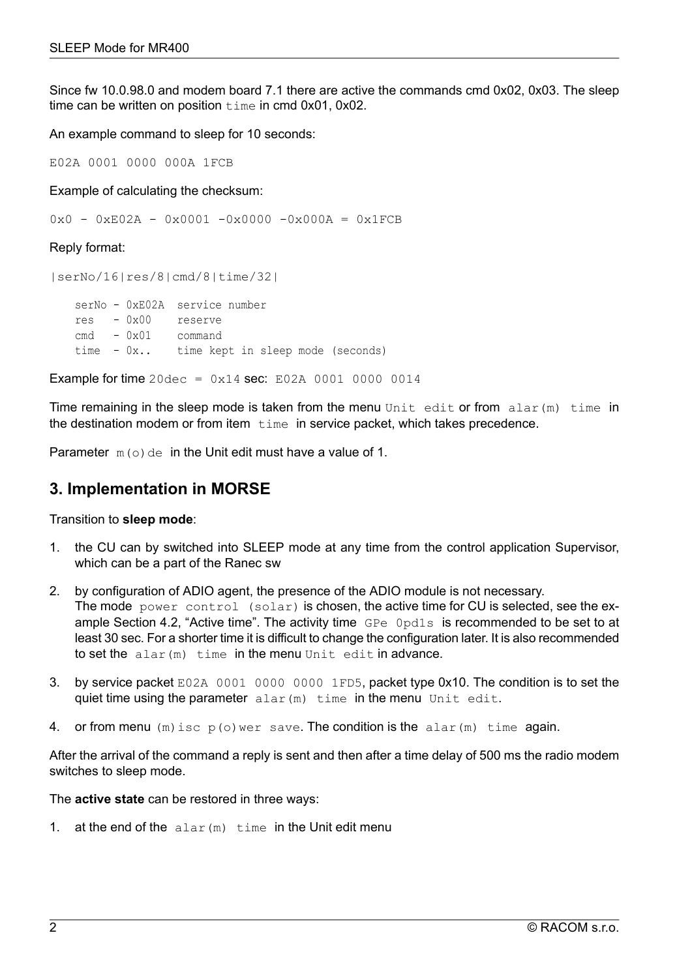Since fw 10.0.98.0 and modem board 7.1 there are active the commands cmd 0x02, 0x03. The sleep time can be written on position time in cmd 0x01, 0x02.

An example command to sleep for 10 seconds:

E02A 0001 0000 000A 1FCB

Example of calculating the checksum:

0x0 - 0xE02A - 0x0001 -0x0000 -0x000A = 0x1FCB

#### Reply format:

|serNo/16|res/8|cmd/8|time/32| serNo - 0xE02A service number res - 0x00 reserve cmd - 0x01 command time - 0x.. time kept in sleep mode (seconds)

**Example for time**  $20 \text{dec} = 0 \times 14 \text{ sec}$ : E02A 0001 0000 0014

Time remaining in the sleep mode is taken from the menu Unit edit or from  $\alpha$ lar(m) time in the destination modem or from item  $time$  in service packet, which takes precedence.

Parameter  $m(\circ)$  de in the Unit edit must have a value of 1.

## **3. Implementation in MORSE**

Transition to **sleep mode**:

- 1. the CU can by switched into SLEEP mode at any time from the control application Supervisor, which can be a part of the Ranec sw
- 2. by configuration of ADIO agent, the presence of the ADIO module is not necessary. The mode power control (solar) is chosen, the active time for CU is selected, see the ex-ample [Section](#page-2-0) 4.2, "Active time". The activity time GPe Opd1s is recommended to be set to at least 30 sec. For a shorter time it is difficult to change the configuration later. It is also recommended to set the alar(m) time in the menu Unit edit in advance.
- 3. by service packet E02A 0001 0000 0000 1FD5, packet type 0x10. The condition is to set the quiet time using the parameter alar (m) time in the menu Unit edit.
- 4. or from menu  $(m)$  isc  $p(o)$  wer save. The condition is the alar  $(m)$  time again.

After the arrival of the command a reply is sent and then after a time delay of 500 ms the radio modem switches to sleep mode.

The **active state** can be restored in three ways:

1. at the end of the  $\alpha$ lar(m) time in the Unit edit menu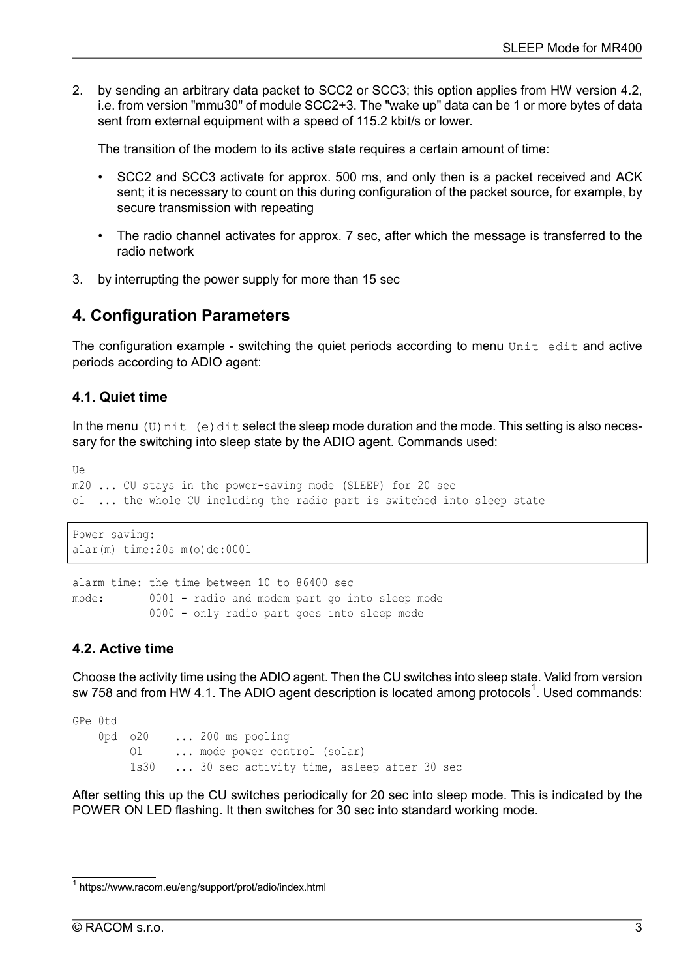2. by sending an arbitrary data packet to SCC2 or SCC3; this option applies from HW version 4.2, i.e. from version "mmu30" of module SCC2+3. The "wake up" data can be 1 or more bytes of data sent from external equipment with a speed of 115.2 kbit/s or lower.

The transition of the modem to its active state requires a certain amount of time:

- SCC2 and SCC3 activate for approx. 500 ms, and only then is a packet received and ACK sent; it is necessary to count on this during configuration of the packet source, for example, by secure transmission with repeating
- The radio channel activates for approx. 7 sec, after which the message is transferred to the radio network
- 3. by interrupting the power supply for more than 15 sec

## **4. Configuration Parameters**

The configuration example - switching the quiet periods according to menu  $\text{Unit}$  edit and active periods according to ADIO agent:

### **4.1. Quiet time**

In the menu (U)  $nit$  (e) dit select the sleep mode duration and the mode. This setting is also necessary for the switching into sleep state by the ADIO agent. Commands used:

```
Ue
m20 ... CU stays in the power-saving mode (SLEEP) for 20 sec
o1 ... the whole CU including the radio part is switched into sleep state
```

```
Power saving:
alar(m) time:20s m(o)de:0001
```

```
alarm time: the time between 10 to 86400 sec
mode: 0001 - radio and modem part go into sleep mode
           0000 - only radio part goes into sleep mode
```
### **4.2. Active time**

Choose the activity time using the ADIO agent. Then the CU switches into sleep state. Valid from version sw 758 and from HW 4.1. The ADIO agent description is located among [protocols](https://www.racom.eu/eng/support/prot/adio/index.html)<sup>1</sup>. Used commands:

```
GPe 0td
   0pd o20 ... 200 ms pooling
        O1 ... mode power control (solar)
        1s30 ... 30 sec activity time, asleep after 30 sec
```
After setting this up the CU switches periodically for 20 sec into sleep mode. This is indicated by the POWER ON LED flashing. It then switches for 30 sec into standard working mode.

<sup>&</sup>lt;sup>1</sup> https://www.racom.eu/eng/support/prot/adio/index.html